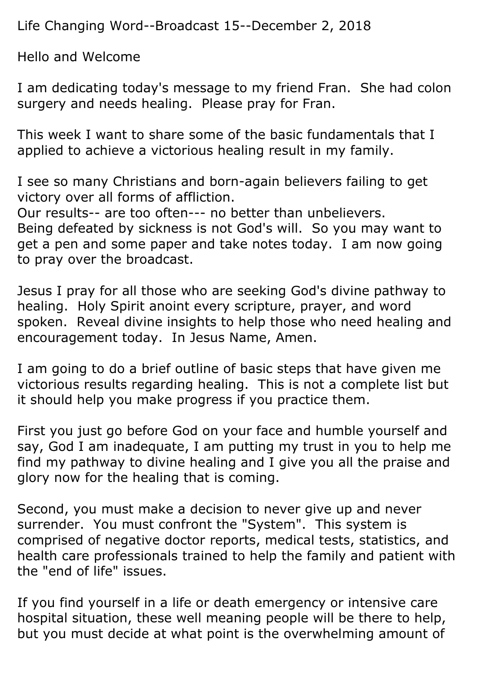Life Changing Word--Broadcast 15--December 2, 2018

Hello and Welcome

I am dedicating today's message to my friend Fran. She had colon surgery and needs healing. Please pray for Fran.

This week I want to share some of the basic fundamentals that I applied to achieve a victorious healing result in my family.

I see so many Christians and born-again believers failing to get victory over all forms of affliction.

Our results-- are too often--- no better than unbelievers.

Being defeated by sickness is not God's will. So you may want to get a pen and some paper and take notes today. I am now going to pray over the broadcast.

Jesus I pray for all those who are seeking God's divine pathway to healing. Holy Spirit anoint every scripture, prayer, and word spoken. Reveal divine insights to help those who need healing and encouragement today. In Jesus Name, Amen.

I am going to do a brief outline of basic steps that have given me victorious results regarding healing. This is not a complete list but it should help you make progress if you practice them.

First you just go before God on your face and humble yourself and say, God I am inadequate, I am putting my trust in you to help me find my pathway to divine healing and I give you all the praise and glory now for the healing that is coming.

Second, you must make a decision to never give up and never surrender. You must confront the "System". This system is comprised of negative doctor reports, medical tests, statistics, and health care professionals trained to help the family and patient with the "end of life" issues.

If you find yourself in a life or death emergency or intensive care hospital situation, these well meaning people will be there to help, but you must decide at what point is the overwhelming amount of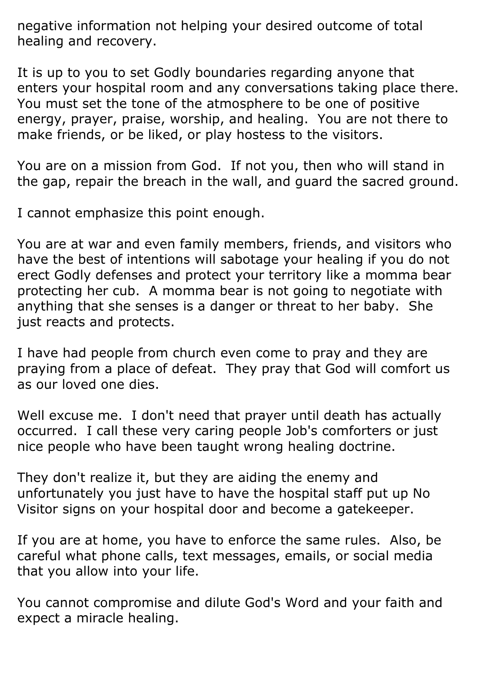negative information not helping your desired outcome of total healing and recovery.

It is up to you to set Godly boundaries regarding anyone that enters your hospital room and any conversations taking place there. You must set the tone of the atmosphere to be one of positive energy, prayer, praise, worship, and healing. You are not there to make friends, or be liked, or play hostess to the visitors.

You are on a mission from God. If not you, then who will stand in the gap, repair the breach in the wall, and guard the sacred ground.

I cannot emphasize this point enough.

You are at war and even family members, friends, and visitors who have the best of intentions will sabotage your healing if you do not erect Godly defenses and protect your territory like a momma bear protecting her cub. A momma bear is not going to negotiate with anything that she senses is a danger or threat to her baby. She just reacts and protects.

I have had people from church even come to pray and they are praying from a place of defeat. They pray that God will comfort us as our loved one dies.

Well excuse me. I don't need that prayer until death has actually occurred. I call these very caring people Job's comforters or just nice people who have been taught wrong healing doctrine.

They don't realize it, but they are aiding the enemy and unfortunately you just have to have the hospital staff put up No Visitor signs on your hospital door and become a gatekeeper.

If you are at home, you have to enforce the same rules. Also, be careful what phone calls, text messages, emails, or social media that you allow into your life.

You cannot compromise and dilute God's Word and your faith and expect a miracle healing.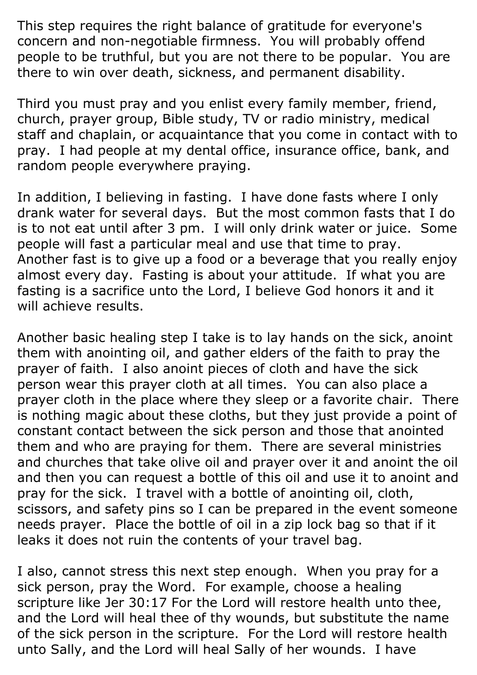This step requires the right balance of gratitude for everyone's concern and non-negotiable firmness. You will probably offend people to be truthful, but you are not there to be popular. You are there to win over death, sickness, and permanent disability.

Third you must pray and you enlist every family member, friend, church, prayer group, Bible study, TV or radio ministry, medical staff and chaplain, or acquaintance that you come in contact with to pray. I had people at my dental office, insurance office, bank, and random people everywhere praying.

In addition, I believing in fasting. I have done fasts where I only drank water for several days. But the most common fasts that I do is to not eat until after 3 pm. I will only drink water or juice. Some people will fast a particular meal and use that time to pray. Another fast is to give up a food or a beverage that you really enjoy almost every day. Fasting is about your attitude. If what you are fasting is a sacrifice unto the Lord, I believe God honors it and it will achieve results.

Another basic healing step I take is to lay hands on the sick, anoint them with anointing oil, and gather elders of the faith to pray the prayer of faith. I also anoint pieces of cloth and have the sick person wear this prayer cloth at all times. You can also place a prayer cloth in the place where they sleep or a favorite chair. There is nothing magic about these cloths, but they just provide a point of constant contact between the sick person and those that anointed them and who are praying for them. There are several ministries and churches that take olive oil and prayer over it and anoint the oil and then you can request a bottle of this oil and use it to anoint and pray for the sick. I travel with a bottle of anointing oil, cloth, scissors, and safety pins so I can be prepared in the event someone needs prayer. Place the bottle of oil in a zip lock bag so that if it leaks it does not ruin the contents of your travel bag.

I also, cannot stress this next step enough. When you pray for a sick person, pray the Word. For example, choose a healing scripture like Jer 30:17 For the Lord will restore health unto thee, and the Lord will heal thee of thy wounds, but substitute the name of the sick person in the scripture. For the Lord will restore health unto Sally, and the Lord will heal Sally of her wounds. I have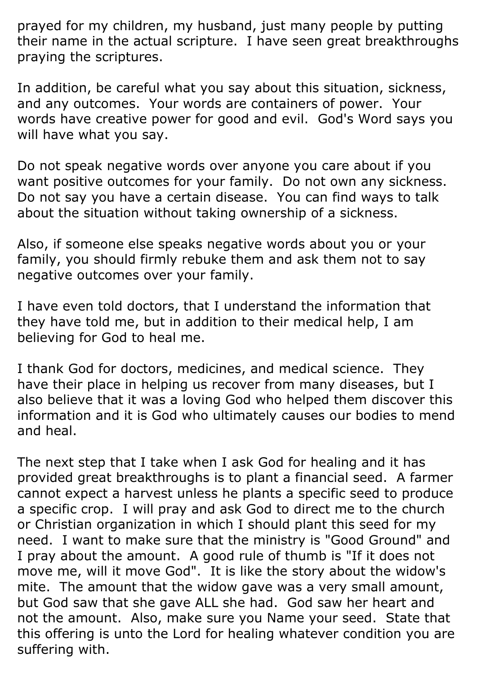prayed for my children, my husband, just many people by putting their name in the actual scripture. I have seen great breakthroughs praying the scriptures.

In addition, be careful what you say about this situation, sickness, and any outcomes. Your words are containers of power. Your words have creative power for good and evil. God's Word says you will have what you say.

Do not speak negative words over anyone you care about if you want positive outcomes for your family. Do not own any sickness. Do not say you have a certain disease. You can find ways to talk about the situation without taking ownership of a sickness.

Also, if someone else speaks negative words about you or your family, you should firmly rebuke them and ask them not to say negative outcomes over your family.

I have even told doctors, that I understand the information that they have told me, but in addition to their medical help, I am believing for God to heal me.

I thank God for doctors, medicines, and medical science. They have their place in helping us recover from many diseases, but I also believe that it was a loving God who helped them discover this information and it is God who ultimately causes our bodies to mend and heal.

The next step that I take when I ask God for healing and it has provided great breakthroughs is to plant a financial seed. A farmer cannot expect a harvest unless he plants a specific seed to produce a specific crop. I will pray and ask God to direct me to the church or Christian organization in which I should plant this seed for my need. I want to make sure that the ministry is "Good Ground" and I pray about the amount. A good rule of thumb is "If it does not move me, will it move God". It is like the story about the widow's mite. The amount that the widow gave was a very small amount, but God saw that she gave ALL she had. God saw her heart and not the amount. Also, make sure you Name your seed. State that this offering is unto the Lord for healing whatever condition you are suffering with.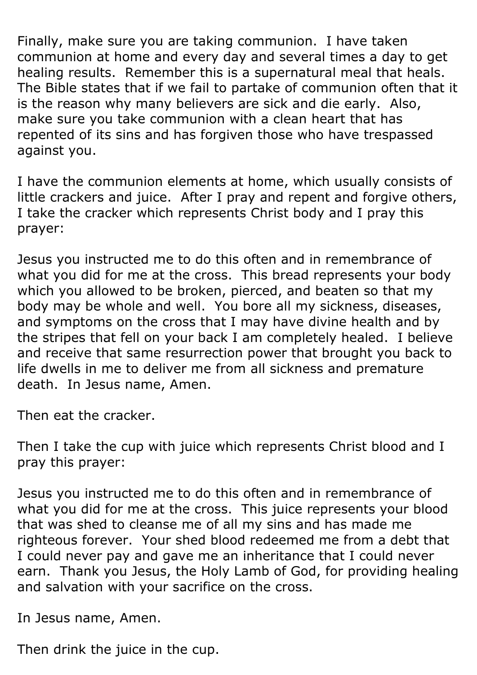Finally, make sure you are taking communion. I have taken communion at home and every day and several times a day to get healing results. Remember this is a supernatural meal that heals. The Bible states that if we fail to partake of communion often that it is the reason why many believers are sick and die early. Also, make sure you take communion with a clean heart that has repented of its sins and has forgiven those who have trespassed against you.

I have the communion elements at home, which usually consists of little crackers and juice. After I pray and repent and forgive others, I take the cracker which represents Christ body and I pray this prayer:

Jesus you instructed me to do this often and in remembrance of what you did for me at the cross. This bread represents your body which you allowed to be broken, pierced, and beaten so that my body may be whole and well. You bore all my sickness, diseases, and symptoms on the cross that I may have divine health and by the stripes that fell on your back I am completely healed. I believe and receive that same resurrection power that brought you back to life dwells in me to deliver me from all sickness and premature death. In Jesus name, Amen.

Then eat the cracker.

Then I take the cup with juice which represents Christ blood and I pray this prayer:

Jesus you instructed me to do this often and in remembrance of what you did for me at the cross. This juice represents your blood that was shed to cleanse me of all my sins and has made me righteous forever. Your shed blood redeemed me from a debt that I could never pay and gave me an inheritance that I could never earn. Thank you Jesus, the Holy Lamb of God, for providing healing and salvation with your sacrifice on the cross.

In Jesus name, Amen.

Then drink the juice in the cup.